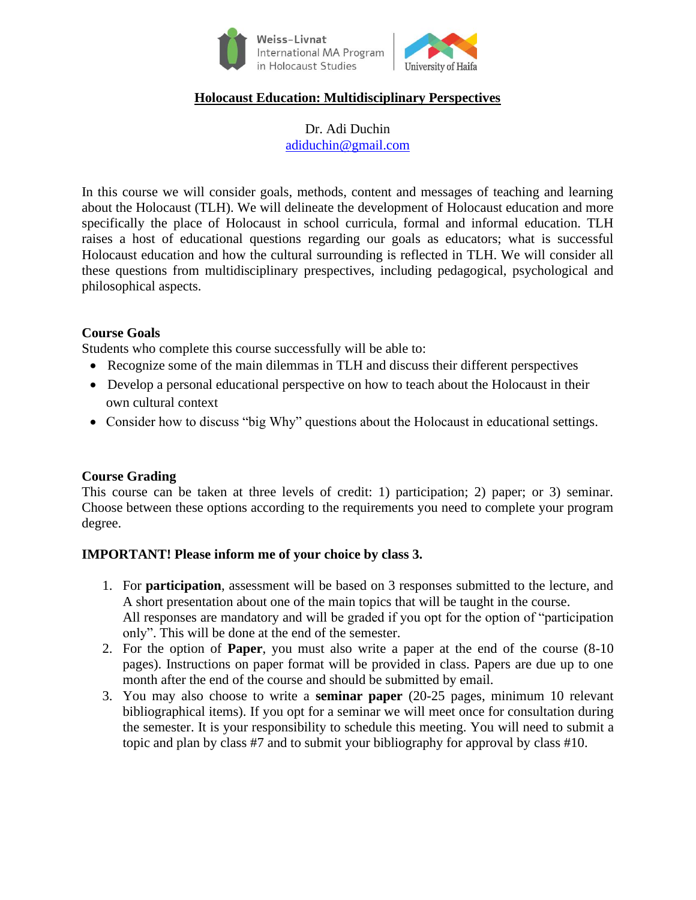

## **Holocaust Education: Multidisciplinary Perspectives**

Dr. Adi Duchin [adiduchin@gmail.com](mailto:adiduchin@gmail.com)

In this course we will consider goals, methods, content and messages of teaching and learning about the Holocaust (TLH). We will delineate the development of Holocaust education and more specifically the place of Holocaust in school curricula, formal and informal education. TLH raises a host of educational questions regarding our goals as educators; what is successful Holocaust education and how the cultural surrounding is reflected in TLH. We will consider all these questions from multidisciplinary prespectives, including pedagogical, psychological and philosophical aspects.

### **Course Goals**

Students who complete this course successfully will be able to:

- Recognize some of the main dilemmas in TLH and discuss their different perspectives
- Develop a personal educational perspective on how to teach about the Holocaust in their own cultural context
- Consider how to discuss "big Why" questions about the Holocaust in educational settings.

### **Course Grading**

This course can be taken at three levels of credit: 1) participation; 2) paper; or 3) seminar. Choose between these options according to the requirements you need to complete your program degree.

### **IMPORTANT! Please inform me of your choice by class 3.**

- 1. For **participation**, assessment will be based on 3 responses submitted to the lecture, and A short presentation about one of the main topics that will be taught in the course. All responses are mandatory and will be graded if you opt for the option of "participation only". This will be done at the end of the semester.
- 2. For the option of **Paper**, you must also write a paper at the end of the course (8-10 pages). Instructions on paper format will be provided in class. Papers are due up to one month after the end of the course and should be submitted by email.
- 3. You may also choose to write a **seminar paper** (20-25 pages, minimum 10 relevant bibliographical items). If you opt for a seminar we will meet once for consultation during the semester. It is your responsibility to schedule this meeting. You will need to submit a topic and plan by class #7 and to submit your bibliography for approval by class #10.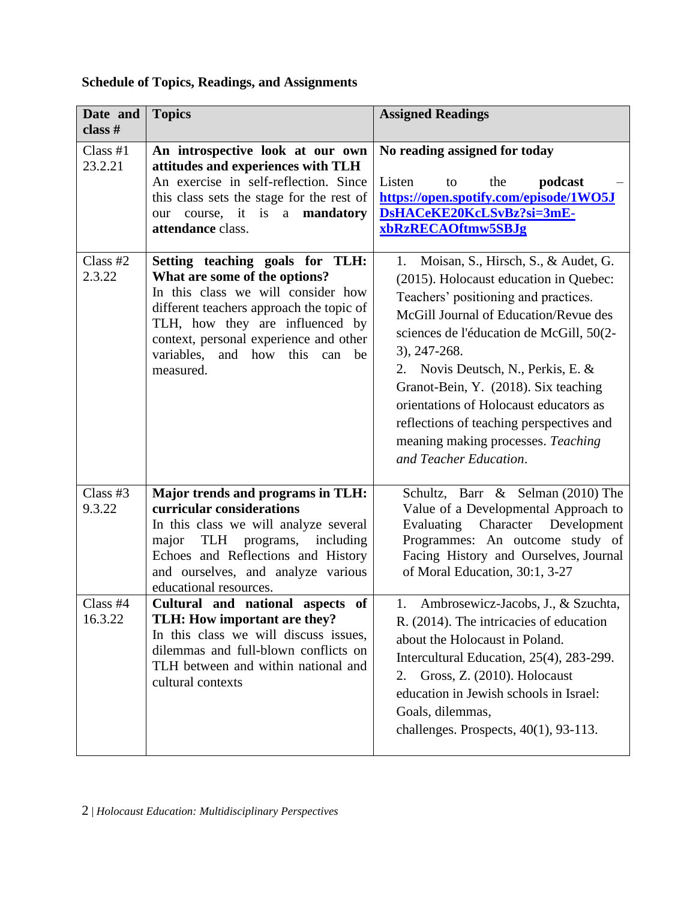# **Schedule of Topics, Readings, and Assignments**

| Date and<br>class #   | <b>Topics</b>                                                                                                                                                                                                                                                                        | <b>Assigned Readings</b>                                                                                                                                                                                                                                                                                                                                                                                                                                             |
|-----------------------|--------------------------------------------------------------------------------------------------------------------------------------------------------------------------------------------------------------------------------------------------------------------------------------|----------------------------------------------------------------------------------------------------------------------------------------------------------------------------------------------------------------------------------------------------------------------------------------------------------------------------------------------------------------------------------------------------------------------------------------------------------------------|
| Class $#1$<br>23.2.21 | An introspective look at our own<br>attitudes and experiences with TLH<br>An exercise in self-reflection. Since<br>this class sets the stage for the rest of<br>course, it is a mandatory<br>our<br>attendance class.                                                                | No reading assigned for today<br>Listen<br>the<br>podcast<br>to<br>https://open.spotify.com/episode/1WO5J<br>DsHACeKE20KcLSvBz?si=3mE-<br>xbRzRECAOftmw5SBJg                                                                                                                                                                                                                                                                                                         |
| Class $#2$<br>2.3.22  | Setting teaching goals for TLH:<br>What are some of the options?<br>In this class we will consider how<br>different teachers approach the topic of<br>TLH, how they are influenced by<br>context, personal experience and other<br>variables, and how<br>this can<br>be<br>measured. | Moisan, S., Hirsch, S., & Audet, G.<br>1.<br>(2015). Holocaust education in Quebec:<br>Teachers' positioning and practices.<br>McGill Journal of Education/Revue des<br>sciences de l'éducation de McGill, 50(2-<br>3), 247-268.<br>2. Novis Deutsch, N., Perkis, E. &<br>Granot-Bein, Y. (2018). Six teaching<br>orientations of Holocaust educators as<br>reflections of teaching perspectives and<br>meaning making processes. Teaching<br>and Teacher Education. |
| Class #3<br>9.3.22    | Major trends and programs in TLH:<br>curricular considerations<br>In this class we will analyze several<br>including<br>programs,<br>major<br>TLH<br>Echoes and Reflections and History<br>and ourselves, and analyze various<br>educational resources.                              | Schultz, Barr & Selman (2010) The<br>Value of a Developmental Approach to<br>Evaluating<br>Character Development<br>Programmes: An outcome study of<br>Facing History and Ourselves, Journal<br>of Moral Education, 30:1, 3-27                                                                                                                                                                                                                                       |
| Class #4<br>16.3.22   | Cultural and national aspects of<br>TLH: How important are they?<br>In this class we will discuss issues,<br>dilemmas and full-blown conflicts on<br>TLH between and within national and<br>cultural contexts                                                                        | 1. Ambrosewicz-Jacobs, J., & Szuchta,<br>R. (2014). The intricacies of education<br>about the Holocaust in Poland.<br>Intercultural Education, 25(4), 283-299.<br>Gross, Z. (2010). Holocaust<br>2.<br>education in Jewish schools in Israel:<br>Goals, dilemmas,<br>challenges. Prospects, 40(1), 93-113.                                                                                                                                                           |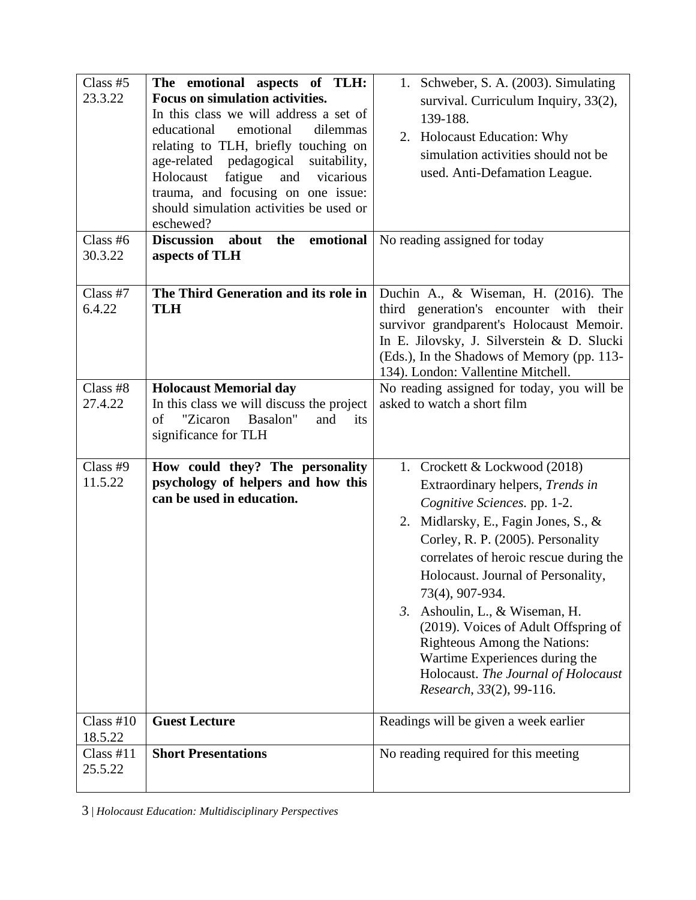| Class $#5$<br>23.3.22  | The emotional aspects of TLH:<br><b>Focus on simulation activities.</b><br>In this class we will address a set of<br>emotional<br>educational<br>dilemmas<br>relating to TLH, briefly touching on<br>age-related<br>pedagogical<br>suitability,<br>Holocaust<br>vicarious<br>fatigue<br>and | 1. Schweber, S. A. (2003). Simulating<br>survival. Curriculum Inquiry, 33(2),<br>139-188.<br>2. Holocaust Education: Why<br>simulation activities should not be<br>used. Anti-Defamation League.                                                                                                                                                                                                                                                                                                        |
|------------------------|---------------------------------------------------------------------------------------------------------------------------------------------------------------------------------------------------------------------------------------------------------------------------------------------|---------------------------------------------------------------------------------------------------------------------------------------------------------------------------------------------------------------------------------------------------------------------------------------------------------------------------------------------------------------------------------------------------------------------------------------------------------------------------------------------------------|
| Class #6<br>30.3.22    | trauma, and focusing on one issue:<br>should simulation activities be used or<br>eschewed?<br>the emotional<br>Discussion about<br>aspects of TLH                                                                                                                                           | No reading assigned for today                                                                                                                                                                                                                                                                                                                                                                                                                                                                           |
| Class #7<br>6.4.22     | The Third Generation and its role in<br><b>TLH</b>                                                                                                                                                                                                                                          | Duchin A., & Wiseman, H. (2016). The<br>third generation's encounter with their<br>survivor grandparent's Holocaust Memoir.<br>In E. Jilovsky, J. Silverstein & D. Slucki<br>(Eds.), In the Shadows of Memory (pp. 113-<br>134). London: Vallentine Mitchell.                                                                                                                                                                                                                                           |
| Class #8<br>27.4.22    | <b>Holocaust Memorial day</b><br>In this class we will discuss the project<br>"Zicaron<br>Basalon"<br>of<br>and<br>its<br>significance for TLH                                                                                                                                              | No reading assigned for today, you will be<br>asked to watch a short film                                                                                                                                                                                                                                                                                                                                                                                                                               |
| Class #9<br>11.5.22    | How could they? The personality<br>psychology of helpers and how this<br>can be used in education.                                                                                                                                                                                          | 1. Crockett & Lockwood (2018)<br>Extraordinary helpers, Trends in<br>Cognitive Sciences. pp. 1-2.<br>2. Midlarsky, E., Fagin Jones, S., &<br>Corley, R. P. (2005). Personality<br>correlates of heroic rescue during the<br>Holocaust. Journal of Personality,<br>73(4), 907-934.<br>3. Ashoulin, L., & Wiseman, H.<br>(2019). Voices of Adult Offspring of<br><b>Righteous Among the Nations:</b><br>Wartime Experiences during the<br>Holocaust. The Journal of Holocaust<br>Research, 33(2), 99-116. |
| Class $#10$<br>18.5.22 | <b>Guest Lecture</b>                                                                                                                                                                                                                                                                        | Readings will be given a week earlier                                                                                                                                                                                                                                                                                                                                                                                                                                                                   |
| Class $#11$<br>25.5.22 | <b>Short Presentations</b>                                                                                                                                                                                                                                                                  | No reading required for this meeting                                                                                                                                                                                                                                                                                                                                                                                                                                                                    |

3 | *Holocaust Education: Multidisciplinary Perspectives*